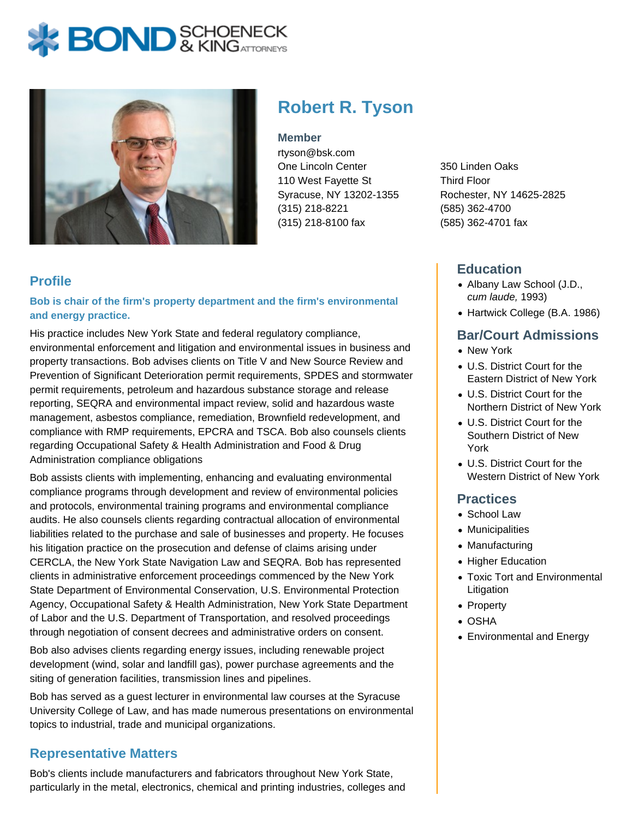# **BOND** & KINGATTORNECK



## **Robert R. Tyson**

#### **Member**

rtyson@bsk.com One Lincoln Center 110 West Fayette St Syracuse, NY 13202-1355 (315) 218-8221 (315) 218-8100 fax

#### **Profile**

**Bob is chair of the firm's property department and the firm's environmental and energy practice.**

His practice includes New York State and federal regulatory compliance, environmental enforcement and litigation and environmental issues in business and property transactions. Bob advises clients on Title V and New Source Review and Prevention of Significant Deterioration permit requirements, SPDES and stormwater permit requirements, petroleum and hazardous substance storage and release reporting, SEQRA and environmental impact review, solid and hazardous waste management, asbestos compliance, remediation, Brownfield redevelopment, and compliance with RMP requirements, EPCRA and TSCA. Bob also counsels clients regarding Occupational Safety & Health Administration and Food & Drug Administration compliance obligations

Bob assists clients with implementing, enhancing and evaluating environmental compliance programs through development and review of environmental policies and protocols, environmental training programs and environmental compliance audits. He also counsels clients regarding contractual allocation of environmental liabilities related to the purchase and sale of businesses and property. He focuses his litigation practice on the prosecution and defense of claims arising under CERCLA, the New York State Navigation Law and SEQRA. Bob has represented clients in administrative enforcement proceedings commenced by the New York State Department of Environmental Conservation, U.S. Environmental Protection Agency, Occupational Safety & Health Administration, New York State Department of Labor and the U.S. Department of Transportation, and resolved proceedings through negotiation of consent decrees and administrative orders on consent.

Bob also advises clients regarding energy issues, including renewable project development (wind, solar and landfill gas), power purchase agreements and the siting of generation facilities, transmission lines and pipelines.

Bob has served as a guest lecturer in environmental law courses at the Syracuse University College of Law, and has made numerous presentations on environmental topics to industrial, trade and municipal organizations.

#### **Representative Matters**

Bob's clients include manufacturers and fabricators throughout New York State, particularly in the metal, electronics, chemical and printing industries, colleges and 350 Linden Oaks Third Floor Rochester, NY 14625-2825 (585) 362-4700 (585) 362-4701 fax

#### **Education**

- Albany Law School (J.D., cum laude, 1993)
- Hartwick College (B.A. 1986)

#### **Bar/Court Admissions**

- New York
- U.S. District Court for the Eastern District of New York
- U.S. District Court for the Northern District of New York
- U.S. District Court for the Southern District of New York
- U.S. District Court for the Western District of New York

#### **Practices**

- School Law
- Municipalities
- Manufacturing
- Higher Education
- Toxic Tort and Environmental Litigation
- Property
- OSHA
- Environmental and Energy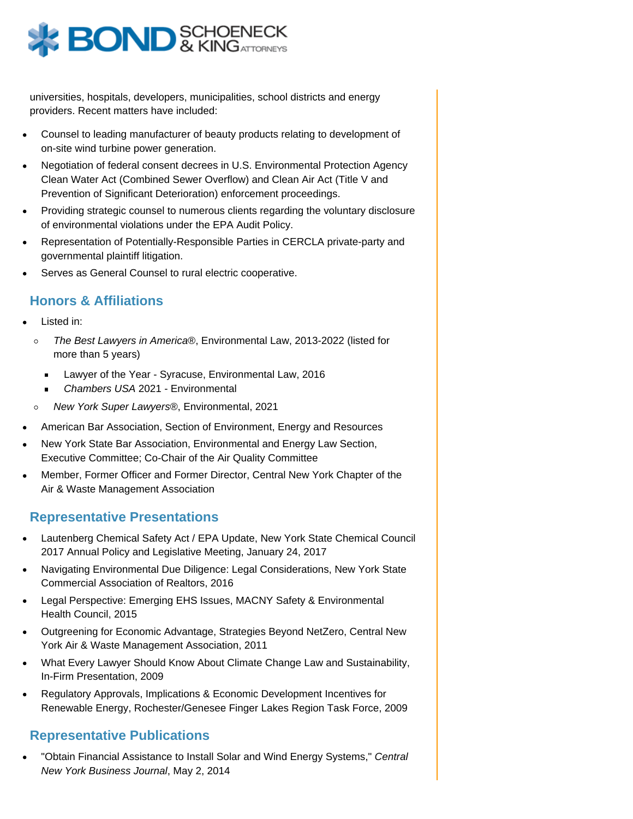

universities, hospitals, developers, municipalities, school districts and energy providers. Recent matters have included:

- Counsel to leading manufacturer of beauty products relating to development of on-site wind turbine power generation.
- Negotiation of federal consent decrees in U.S. Environmental Protection Agency Clean Water Act (Combined Sewer Overflow) and Clean Air Act (Title V and Prevention of Significant Deterioration) enforcement proceedings.
- Providing strategic counsel to numerous clients regarding the voluntary disclosure of environmental violations under the EPA Audit Policy.
- Representation of Potentially-Responsible Parties in CERCLA private-party and governmental plaintiff litigation.
- Serves as General Counsel to rural electric cooperative.

#### **Honors & Affiliations**

- Listed in:
	- The Best Lawyers in America®, Environmental Law, 2013-2022 (listed for  $\circ$ more than 5 years)
		- Lawyer of the Year Syracuse, Environmental Law, 2016  $\blacksquare$
		- Chambers USA 2021 Environmental  $\blacksquare$
	- $\circ$ New York Super Lawyers®, Environmental, 2021
- American Bar Association, Section of Environment, Energy and Resources
- New York State Bar Association, Environmental and Energy Law Section, Executive Committee; Co-Chair of the Air Quality Committee
- Member, Former Officer and Former Director, Central New York Chapter of the Air & Waste Management Association

#### **Representative Presentations**

- Lautenberg Chemical Safety Act / EPA Update, New York State Chemical Council 2017 Annual Policy and Legislative Meeting, January 24, 2017
- Navigating Environmental Due Diligence: Legal Considerations, New York State Commercial Association of Realtors, 2016
- Legal Perspective: Emerging EHS Issues, MACNY Safety & Environmental Health Council, 2015
- Outgreening for Economic Advantage, Strategies Beyond NetZero, Central New York Air & Waste Management Association, 2011
- What Every Lawyer Should Know About Climate Change Law and Sustainability, In-Firm Presentation, 2009
- Regulatory Approvals, Implications & Economic Development Incentives for Renewable Energy, Rochester/Genesee Finger Lakes Region Task Force, 2009

### **Representative Publications**

"Obtain Financial Assistance to Install Solar and Wind Energy Systems," Central New York Business Journal, May 2, 2014